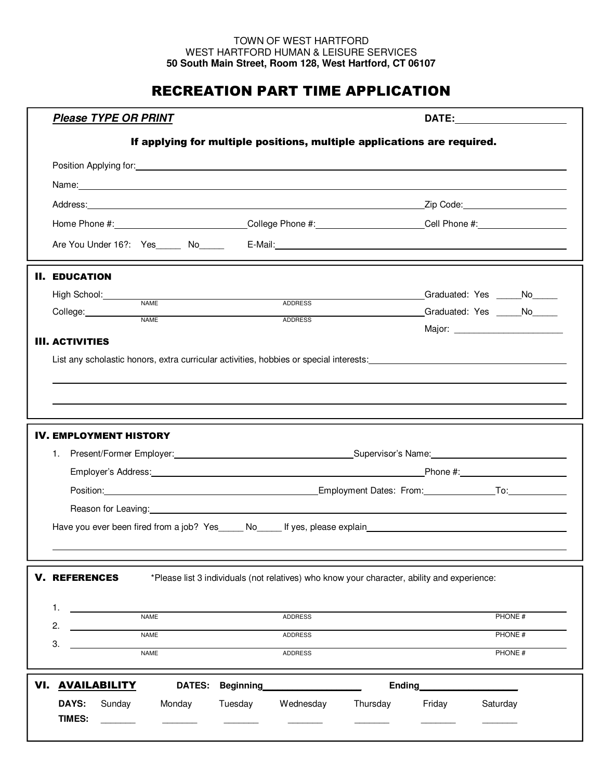## TOWN OF WEST HARTFORD WEST HARTFORD HUMAN & LEISURE SERVICES **50 South Main Street, Room 128, West Hartford, CT 06107**

## RECREATION PART TIME APPLICATION

|     | <b>Please TYPE OR PRINT</b>                                                                                    |                                                                                                                                                                                                                                |                |                |                                                                                             |        | DATE: ___________________                                                                                                                                                                                                      |  |
|-----|----------------------------------------------------------------------------------------------------------------|--------------------------------------------------------------------------------------------------------------------------------------------------------------------------------------------------------------------------------|----------------|----------------|---------------------------------------------------------------------------------------------|--------|--------------------------------------------------------------------------------------------------------------------------------------------------------------------------------------------------------------------------------|--|
|     |                                                                                                                | If applying for multiple positions, multiple applications are required.                                                                                                                                                        |                |                |                                                                                             |        |                                                                                                                                                                                                                                |  |
|     |                                                                                                                |                                                                                                                                                                                                                                |                |                |                                                                                             |        |                                                                                                                                                                                                                                |  |
|     | Name: 2008. 2009. 2009. 2009. 2009. 2009. 2009. 2009. 2009. 2009. 2009. 2009. 2009. 2009. 2009. 2009. 2009. 20 |                                                                                                                                                                                                                                |                |                |                                                                                             |        |                                                                                                                                                                                                                                |  |
|     |                                                                                                                |                                                                                                                                                                                                                                |                |                |                                                                                             |        |                                                                                                                                                                                                                                |  |
|     |                                                                                                                |                                                                                                                                                                                                                                |                |                |                                                                                             |        | Home Phone #: College Phone #: College Phone #: Cell Phone #: Cell Phone #:                                                                                                                                                    |  |
|     |                                                                                                                |                                                                                                                                                                                                                                |                |                |                                                                                             |        | Are You Under 16?: Yes No Relational Property Control of the Control of the Control of the Control of the Control of the Control of the Control of the Control of the Control of the Control of the Control of the Control of  |  |
|     | <b>II. EDUCATION</b>                                                                                           |                                                                                                                                                                                                                                |                |                |                                                                                             |        |                                                                                                                                                                                                                                |  |
|     | High School: NAME                                                                                              |                                                                                                                                                                                                                                |                |                |                                                                                             |        |                                                                                                                                                                                                                                |  |
|     | College:                                                                                                       |                                                                                                                                                                                                                                |                | ADDRESS        |                                                                                             |        |                                                                                                                                                                                                                                |  |
|     |                                                                                                                | <b>NAME</b>                                                                                                                                                                                                                    |                | <b>ADDRESS</b> |                                                                                             |        |                                                                                                                                                                                                                                |  |
|     | <b>III. ACTIVITIES</b>                                                                                         |                                                                                                                                                                                                                                |                |                |                                                                                             |        |                                                                                                                                                                                                                                |  |
|     |                                                                                                                |                                                                                                                                                                                                                                |                |                |                                                                                             |        | List any scholastic honors, extra curricular activities, hobbies or special interests: Letterman and the material of the state of the state of the state of the state of the state of the state of the state of the state of t |  |
|     |                                                                                                                |                                                                                                                                                                                                                                |                |                |                                                                                             |        |                                                                                                                                                                                                                                |  |
|     |                                                                                                                |                                                                                                                                                                                                                                |                |                |                                                                                             |        |                                                                                                                                                                                                                                |  |
|     |                                                                                                                |                                                                                                                                                                                                                                |                |                |                                                                                             |        |                                                                                                                                                                                                                                |  |
|     | <b>IV. EMPLOYMENT HISTORY</b>                                                                                  |                                                                                                                                                                                                                                |                |                |                                                                                             |        |                                                                                                                                                                                                                                |  |
|     |                                                                                                                |                                                                                                                                                                                                                                |                |                |                                                                                             |        |                                                                                                                                                                                                                                |  |
|     |                                                                                                                |                                                                                                                                                                                                                                |                |                |                                                                                             |        |                                                                                                                                                                                                                                |  |
|     |                                                                                                                |                                                                                                                                                                                                                                |                |                |                                                                                             |        |                                                                                                                                                                                                                                |  |
|     |                                                                                                                | Reason for Leaving: example and a series of the series of the series of the series of the series of the series of the series of the series of the series of the series of the series of the series of the series of the series |                |                |                                                                                             |        |                                                                                                                                                                                                                                |  |
|     |                                                                                                                |                                                                                                                                                                                                                                |                |                |                                                                                             |        | Have you ever been fired from a job? Yes_____ No_____ If yes, please explain__________________________________                                                                                                                 |  |
|     |                                                                                                                |                                                                                                                                                                                                                                |                |                |                                                                                             |        |                                                                                                                                                                                                                                |  |
|     |                                                                                                                |                                                                                                                                                                                                                                |                |                |                                                                                             |        |                                                                                                                                                                                                                                |  |
|     | <b>V. REFERENCES</b>                                                                                           |                                                                                                                                                                                                                                |                |                | *Please list 3 individuals (not relatives) who know your character, ability and experience: |        |                                                                                                                                                                                                                                |  |
|     |                                                                                                                |                                                                                                                                                                                                                                |                |                |                                                                                             |        |                                                                                                                                                                                                                                |  |
|     | 1.                                                                                                             | <b>NAME</b>                                                                                                                                                                                                                    |                | <b>ADDRESS</b> |                                                                                             |        | PHONE #                                                                                                                                                                                                                        |  |
|     | 2.                                                                                                             | <b>NAME</b>                                                                                                                                                                                                                    | <b>ADDRESS</b> |                |                                                                                             |        | PHONE #                                                                                                                                                                                                                        |  |
|     | 3.<br><b>NAME</b>                                                                                              |                                                                                                                                                                                                                                |                | <b>ADDRESS</b> | PHONE #                                                                                     |        |                                                                                                                                                                                                                                |  |
| VI. | <u>AVAILABILITY</u><br><b>DATES:</b><br>Beginning<br>Ending_                                                   |                                                                                                                                                                                                                                |                |                |                                                                                             |        |                                                                                                                                                                                                                                |  |
|     | <b>DAYS:</b><br>Sunday<br><b>TIMES:</b>                                                                        | Monday                                                                                                                                                                                                                         | Tuesday        | Wednesday      | Thursday                                                                                    | Friday | Saturday                                                                                                                                                                                                                       |  |
|     |                                                                                                                |                                                                                                                                                                                                                                |                |                |                                                                                             |        |                                                                                                                                                                                                                                |  |